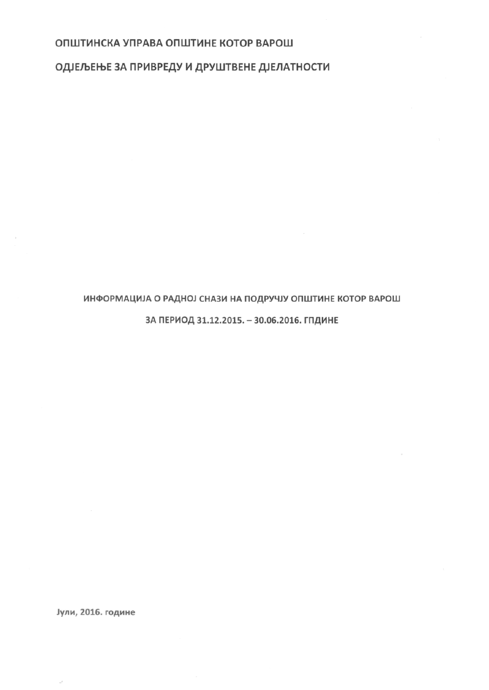## ОПШТИНСКА УПРАВА ОПШТИНЕ КОТОР ВАРОШ

ОДЈЕЉЕЊЕ ЗА ПРИВРЕДУ И ДРУШТВЕНЕ ДЈЕЛАТНОСТИ

## ИНФОРМАЦИЈА О РАДНОЈ СНАЗИ НА ПОДРУЧЈУ ОПШТИНЕ КОТОР ВАРОШ

## ЗА ПЕРИОД 31.12.2015. - 30.06.2016. ГПДИНЕ

Јули, 2016. године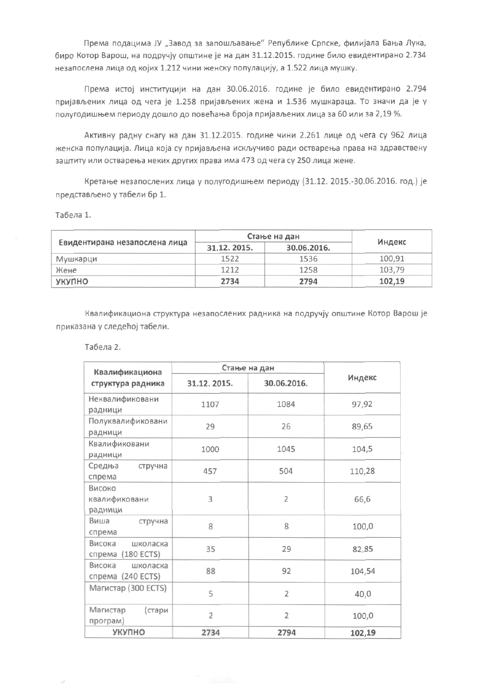Према подацима ЈУ "Завод за запошљавање" Републике Српске, филијала Бања Лука, биро Котор Варош, на подручју општине је на дан 31.12.2015. године било евидентирано 2.734 незапослена лица од којих 1.212 чини женску популацију, а 1.522 лица мушку.

Према истој институцији на дан 30.06.2016. године је било евидентирано 2.794 пријављених лица од чега је 1.258 пријављених жена и 1.536 мушкараца. То значи да је у полугодишњем периоду дошло до повећања броја пријављених лица за 60 или за 2,19 %.

Активну радну снагу на дан 31.12.2015. године чини 2.261 лице од чега су 962 лица женска популација. Лица која су пријављена искључиво ради остварења права на здравствену заштиту или остварења неких других права има 473 од чега су 250 лица жене.

Кретање незапослених лица у полугодишњем периоду (31.12. 2015.-30.06.2016. год.) је представљено у табели бр 1.

Табела 1.

| Евидентирана незапослена лица | Стање на дан |             |        |
|-------------------------------|--------------|-------------|--------|
|                               | 31.12.2015.  | 30.06.2016. | Индекс |
| Мушкарци                      | 1522         | 1536        | 100.91 |
| Жене                          | 1212         | 1258        | 103.79 |
| УКУПНО                        | 2734         | 2794        | 102,19 |

Квалификациона структура незапослених радника на подручју општине Котор Варош је приказана у следећој табели.

Табела 2.

| Квалификациона       | Стање на дан   |                |        |
|----------------------|----------------|----------------|--------|
| структура радника    | 31.12.2015.    | 30.06.2016.    | Индекс |
| Неквалификовани      | 1107           | 1084           | 97,92  |
| радници              |                |                |        |
| Полуквалификовани    | 29             | 26             | 89,65  |
| радници              |                |                |        |
| Квалификовани        | 1000           | 1045           | 104,5  |
| радници              |                |                |        |
| Средња<br>стручна    | 457            | 504            | 110,28 |
| спрема               |                |                |        |
| Високо               |                |                |        |
| квалификовани        | 3              | $\overline{2}$ | 66,6   |
| радници              |                |                |        |
| Виша<br>стручна      | 8              | 8              | 100,0  |
| спрема               |                |                |        |
| Висока<br>школаска   | 35             | 29             | 82,85  |
| спрема (180 ECTS)    |                |                |        |
| Висока<br>школаска   | 88             | 92             | 104,54 |
| (240 ECTS)<br>спрема |                |                |        |
| Магистар (300 ECTS)  | 5              | $\overline{2}$ | 40,0   |
| Магистар<br>(стари   | $\overline{2}$ | $\overline{2}$ | 100,0  |
| програм)             |                |                |        |
| УКУПНО               | 2734           | 2794           | 102,19 |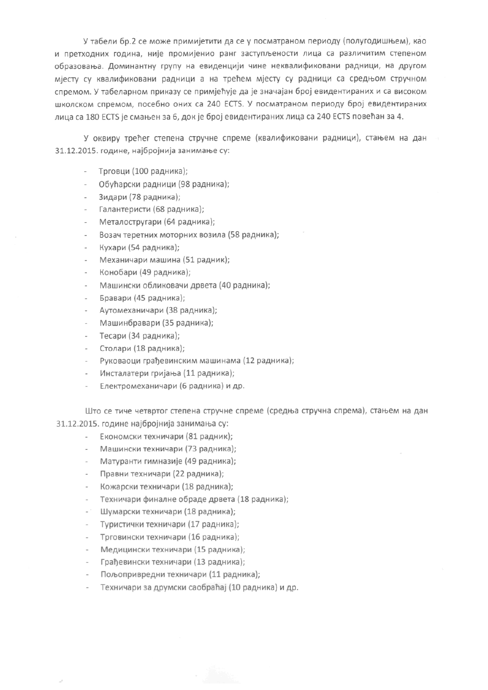У табели бр.2 се може примијетити да се у посматраном периоду (полугодишњем), као и претходних година, није промијенио ранг заступљености лица са различитим степеном образовања. Доминантну групу на евиденцији чине неквалификовани радници, на другом міесту су квалификовани радници а на трећем міесту су радници са средњом стручном спремом. У табеларном приказу се приміећује да је значајан број евидентираних и са високом школском спремом, посебно оних са 240 ECTS. У посматраном периоду број евидентираних лица са 180 ECTS је смањен за 6, док је број евидентираних лица са 240 ECTS повећан за 4.

У оквиру трећег степена стручне спреме (квалификовани радници), стањем на дан 31.12.2015. године, најбројнија занимање су:

- Трговци (100 радника);
- Обућарски радници (98 радника);
- Зидари (78 радника);
- Галантеристи (68 радника);
- Металостругари (64 радника);
- Возач теретних моторних возила (58 радника);
- Кухари (54 радника);
- Механичари машина (51 радник);
- Конобари (49 радника);
- Машински обликовачи дрвета (40 радника);
- Бравари (45 радника);
- Аутомеханичари (38 радника);
- Машинбравари (35 радника);
- Тесари (34 радника);
- Столари (18 радника);
- Руковаоци грађевинским машинама (12 радника);
- Инсталатери гријања (11 радника);
- Електромеханичари (6 радника) и др.

Што се тиче четвртог степена стручне спреме (средња стручна спрема), стањем на дан 31.12.2015. године најбројнија занимања су:

- Економски техничари (81 радник);
- Машински техничари (73 радника);  $\sim$
- Матуранти гимназије (49 радника);
- Правни техничари (22 радника);
- Кожарски техничари (18 радника);
- Техничари финалне обраде дрвета (18 радника);
- Шумарски техничари (18 радника);
- Туристички техничари (17 радника);
- Трговински техничари (16 радника);
- Медицински техничари (15 радника);
- Грађевински техничари (13 радника);
- Пољопривредни техничари (11 радника);
- Техничари за друмски саобраћај (10 радника) и др.